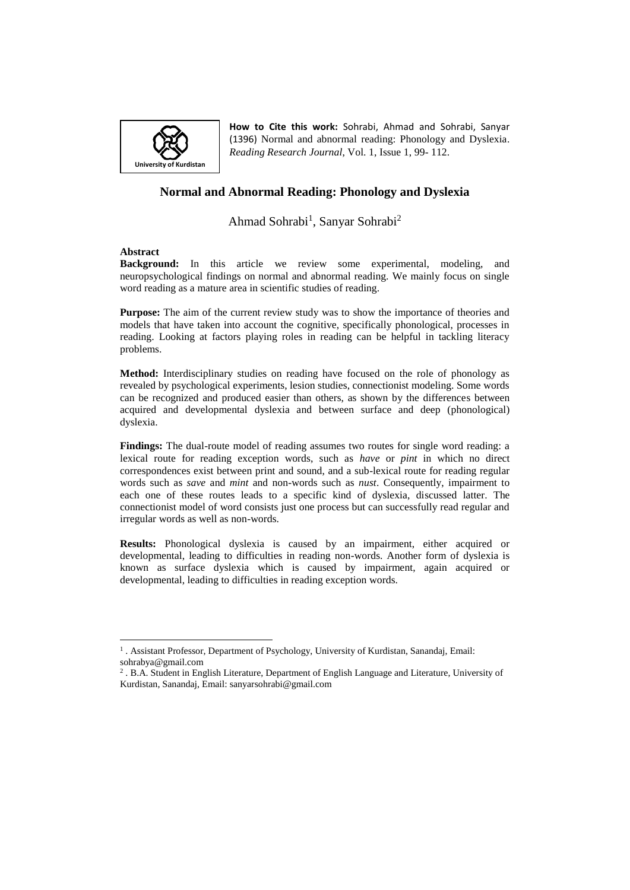

**How to Cite this work:** Sohrabi, Ahmad and Sohrabi, Sanyar (1396) Normal and abnormal reading: Phonology and Dyslexia. *Reading Research Journal*, Vol. 1, Issue 1, 99- 112.

# **Normal and Abnormal Reading: Phonology and Dyslexia**

# Ahmad Sohrabi<sup>1</sup>, Sanyar Sohrabi<sup>2</sup>

#### **Abstract**

 $\overline{a}$ 

**Background:** In this article we review some experimental, modeling, and neuropsychological findings on normal and abnormal reading. We mainly focus on single word reading as a mature area in scientific studies of reading.

**Purpose:** The aim of the current review study was to show the importance of theories and models that have taken into account the cognitive, specifically phonological, processes in reading. Looking at factors playing roles in reading can be helpful in tackling literacy problems.

**Method:** Interdisciplinary studies on reading have focused on the role of phonology as revealed by psychological experiments, lesion studies, connectionist modeling. Some words can be recognized and produced easier than others, as shown by the differences between acquired and developmental dyslexia and between surface and deep (phonological) dyslexia.

**Findings:** The dual-route model of reading assumes two routes for single word reading: a lexical route for reading exception words, such as *have* or *pint* in which no direct correspondences exist between print and sound, and a sub-lexical route for reading regular words such as *save* and *mint* and non-words such as *nust*. Consequently, impairment to each one of these routes leads to a specific kind of dyslexia, discussed latter. The connectionist model of word consists just one process but can successfully read regular and irregular words as well as non-words.

**Results:** Phonological dyslexia is caused by an impairment, either acquired or developmental, leading to difficulties in reading non-words. Another form of dyslexia is known as surface dyslexia which is caused by impairment, again acquired or developmental, leading to difficulties in reading exception words.

<sup>&</sup>lt;sup>1</sup>. Assistant Professor, Department of Psychology, University of Kurdistan, Sanandaj, Email: sohrabya@gmail.com

<sup>&</sup>lt;sup>2</sup>. B.A. Student in English Literature, Department of English Language and Literature, University of Kurdistan, Sanandaj, Email: sanyarsohrabi@gmail.com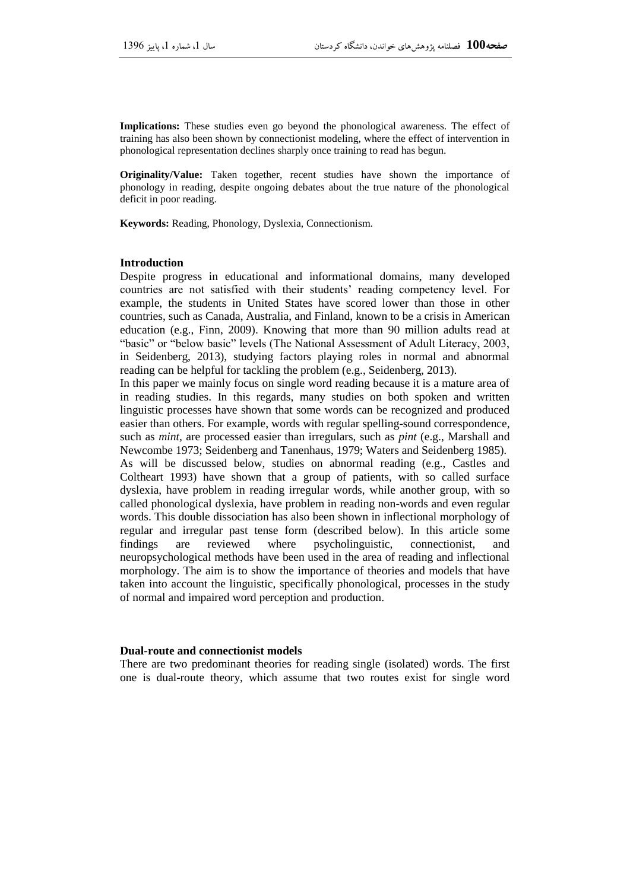**Implications:** These studies even go beyond the phonological awareness. The effect of training has also been shown by connectionist modeling, where the effect of intervention in phonological representation declines sharply once training to read has begun.

**Originality/Value:** Taken together, recent studies have shown the importance of phonology in reading, despite ongoing debates about the true nature of the phonological deficit in poor reading.

**Keywords:** Reading, Phonology, Dyslexia, Connectionism.

#### **Introduction**

Despite progress in educational and informational domains, many developed countries are not satisfied with their students' reading competency level. For example, the students in United States have scored lower than those in other countries, such as Canada, Australia, and Finland, known to be a crisis in American education (e.g., Finn, 2009). Knowing that more than 90 million adults read at "basic" or "below basic" levels (The National Assessment of Adult Literacy, 2003, in Seidenberg, 2013), studying factors playing roles in normal and abnormal reading can be helpful for tackling the problem (e.g., Seidenberg, 2013).

In this paper we mainly focus on single word reading because it is a mature area of in reading studies. In this regards, many studies on both spoken and written linguistic processes have shown that some words can be recognized and produced easier than others. For example, words with regular spelling-sound correspondence, such as *mint,* are processed easier than irregulars, such as *pint* (e.g., Marshall and Newcombe 1973; Seidenberg and Tanenhaus, 1979; Waters and Seidenberg 1985)*.* 

As will be discussed below, studies on abnormal reading (e.g., Castles and Coltheart 1993) have shown that a group of patients, with so called surface dyslexia, have problem in reading irregular words, while another group, with so called phonological dyslexia, have problem in reading non-words and even regular words. This double dissociation has also been shown in inflectional morphology of regular and irregular past tense form (described below). In this article some findings are reviewed where psycholinguistic, connectionist, and neuropsychological methods have been used in the area of reading and inflectional morphology. The aim is to show the importance of theories and models that have taken into account the linguistic, specifically phonological, processes in the study of normal and impaired word perception and production.

#### **Dual-route and connectionist models**

There are two predominant theories for reading single (isolated) words. The first one is dual-route theory, which assume that two routes exist for single word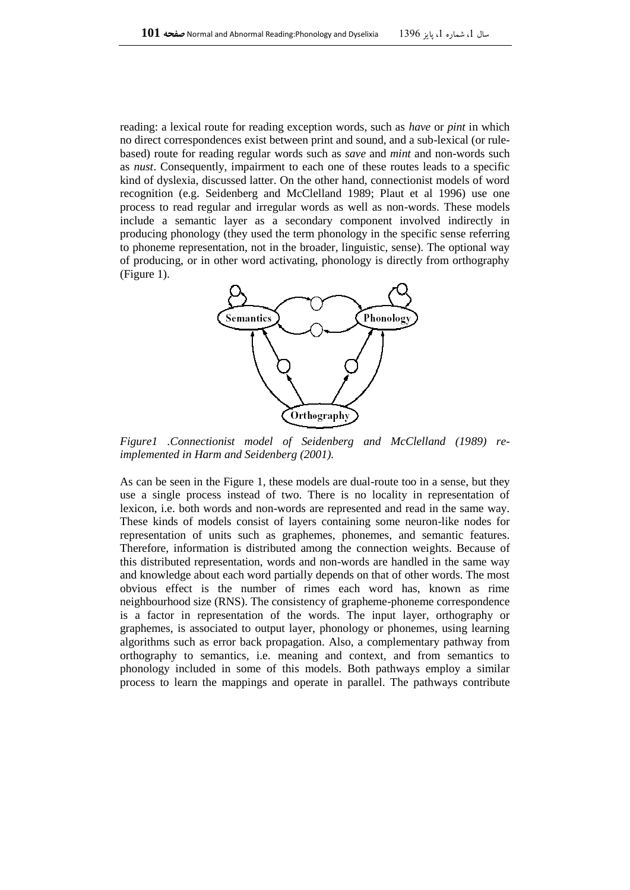reading: a lexical route for reading exception words, such as *have* or *pint* in which no direct correspondences exist between print and sound, and a sub-lexical (or rulebased) route for reading regular words such as *save* and *mint* and non-words such as *nust*. Consequently, impairment to each one of these routes leads to a specific kind of dyslexia, discussed latter. On the other hand, connectionist models of word recognition (e.g. Seidenberg and McClelland 1989; Plaut et al 1996) use one process to read regular and irregular words as well as non-words. These models include a semantic layer as a secondary component involved indirectly in producing phonology (they used the term phonology in the specific sense referring to phoneme representation, not in the broader, linguistic, sense). The optional way of producing, or in other word activating, phonology is directly from orthography (Figure 1).



*Figure1 .Connectionist model of Seidenberg and McClelland (1989) reimplemented in Harm and Seidenberg (2001).*

As can be seen in the Figure 1, these models are dual-route too in a sense, but they use a single process instead of two. There is no locality in representation of lexicon, i.e. both words and non-words are represented and read in the same way. These kinds of models consist of layers containing some neuron-like nodes for representation of units such as graphemes, phonemes, and semantic features. Therefore, information is distributed among the connection weights. Because of this distributed representation, words and non-words are handled in the same way and knowledge about each word partially depends on that of other words. The most obvious effect is the number of rimes each word has, known as rime neighbourhood size (RNS). The consistency of grapheme-phoneme correspondence is a factor in representation of the words. The input layer, orthography or graphemes, is associated to output layer, phonology or phonemes, using learning algorithms such as error back propagation. Also, a complementary pathway from orthography to semantics, i.e. meaning and context, and from semantics to phonology included in some of this models. Both pathways employ a similar process to learn the mappings and operate in parallel. The pathways contribute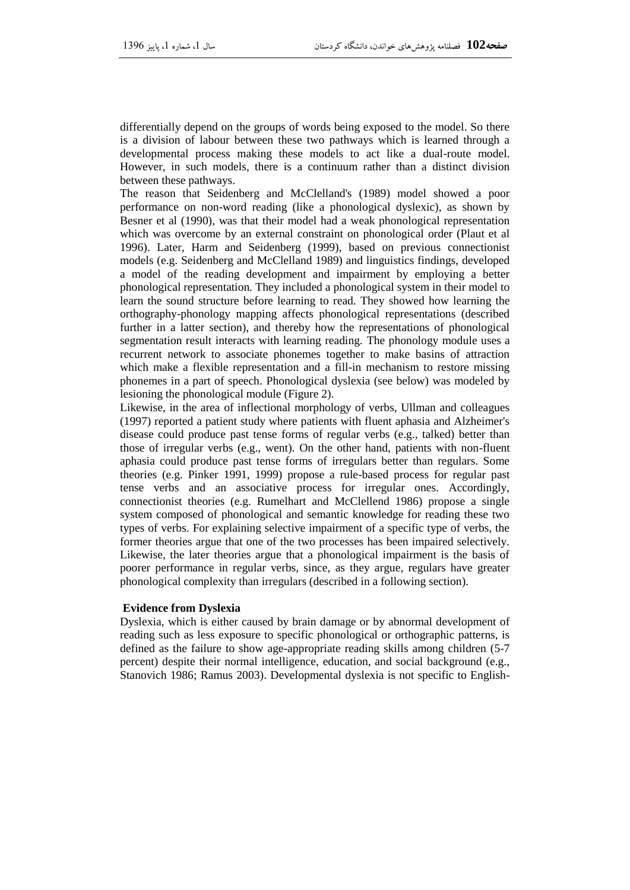differentially depend on the groups of words being exposed to the model. So there is a division of labour between these two pathways which is learned through a developmental process making these models to act like a dual-route model. However, in such models, there is a continuum rather than a distinct division between these pathways.

The reason that Seidenberg and McClelland's (1989) model showed a poor performance on non-word reading (like a phonological dyslexic), as shown by Besner et al (1990), was that their model had a weak phonological representation which was overcome by an external constraint on phonological order (Plaut et al 1996). Later, Harm and Seidenberg (1999), based on previous connectionist models (e.g. Seidenberg and McClelland 1989) and linguistics findings, developed a model of the reading development and impairment by employing a better phonological representation. They included a phonological system in their model to learn the sound structure before learning to read. They showed how learning the orthography-phonology mapping affects phonological representations (described further in a latter section), and thereby how the representations of phonological segmentation result interacts with learning reading. The phonology module uses a recurrent network to associate phonemes together to make basins of attraction which make a flexible representation and a fill-in mechanism to restore missing phonemes in a part of speech. Phonological dyslexia (see below) was modeled by lesioning the phonological module (Figure 2).

Likewise, in the area of inflectional morphology of verbs, Ullman and colleagues (1997) reported a patient study where patients with fluent aphasia and Alzheimer's disease could produce past tense forms of regular verbs (e.g., talked) better than those of irregular verbs (e.g., went). On the other hand, patients with non-fluent aphasia could produce past tense forms of irregulars better than regulars. Some theories (e.g. Pinker 1991, 1999) propose a rule-based process for regular past tense verbs and an associative process for irregular ones. Accordingly, connectionist theories (e.g. Rumelhart and McClellend 1986) propose a single system composed of phonological and semantic knowledge for reading these two types of verbs. For explaining selective impairment of a specific type of verbs, the former theories argue that one of the two processes has been impaired selectively. Likewise, the later theories argue that a phonological impairment is the basis of poorer performance in regular verbs, since, as they argue, regulars have greater phonological complexity than irregulars (described in a following section).

## **Evidence from Dyslexia**

Dyslexia, which is either caused by brain damage or by abnormal development of reading such as less exposure to specific phonological or orthographic patterns, is defined as the failure to show age-appropriate reading skills among children (5-7 percent) despite their normal intelligence, education, and social background (e.g., Stanovich 1986; Ramus 2003). Developmental dyslexia is not specific to English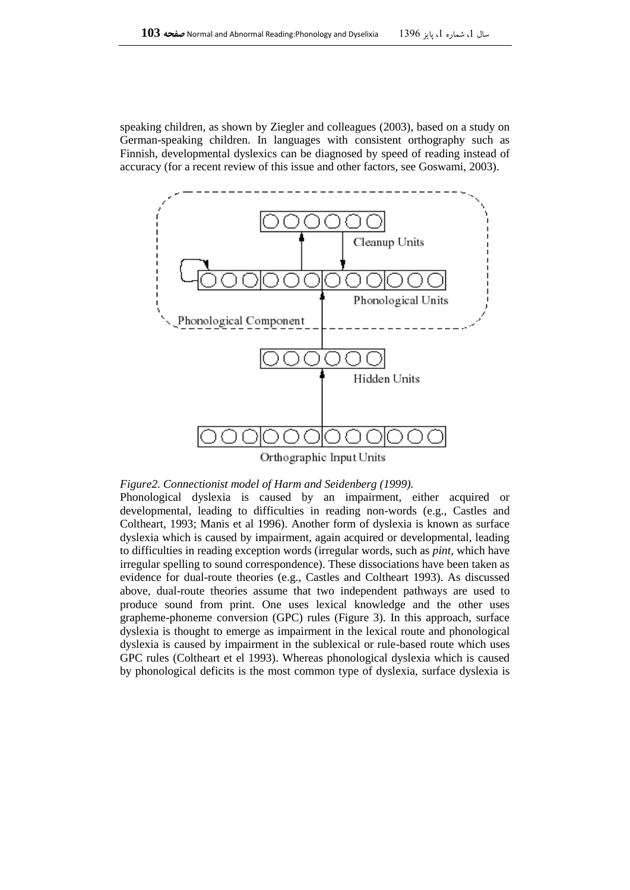speaking children, as shown by Ziegler and colleagues (2003), based on a study on German-speaking children. In languages with consistent orthography such as Finnish, developmental dyslexics can be diagnosed by speed of reading instead of accuracy (for a recent review of this issue and other factors, see Goswami, 2003).



Orthographic Input Units

### *Figure2. Connectionist model of Harm and Seidenberg (1999).*

Phonological dyslexia is caused by an impairment, either acquired or developmental, leading to difficulties in reading non-words (e.g., Castles and Coltheart, 1993; Manis et al 1996). Another form of dyslexia is known as surface dyslexia which is caused by impairment, again acquired or developmental, leading to difficulties in reading exception words (irregular words, such as *pint,* which have irregular spelling to sound correspondence). These dissociations have been taken as evidence for dual-route theories (e.g., Castles and Coltheart 1993). As discussed above, dual-route theories assume that two independent pathways are used to produce sound from print. One uses lexical knowledge and the other uses grapheme-phoneme conversion (GPC) rules (Figure 3). In this approach, surface dyslexia is thought to emerge as impairment in the lexical route and phonological dyslexia is caused by impairment in the sublexical or rule-based route which uses GPC rules (Coltheart et el 1993). Whereas phonological dyslexia which is caused by phonological deficits is the most common type of dyslexia, surface dyslexia is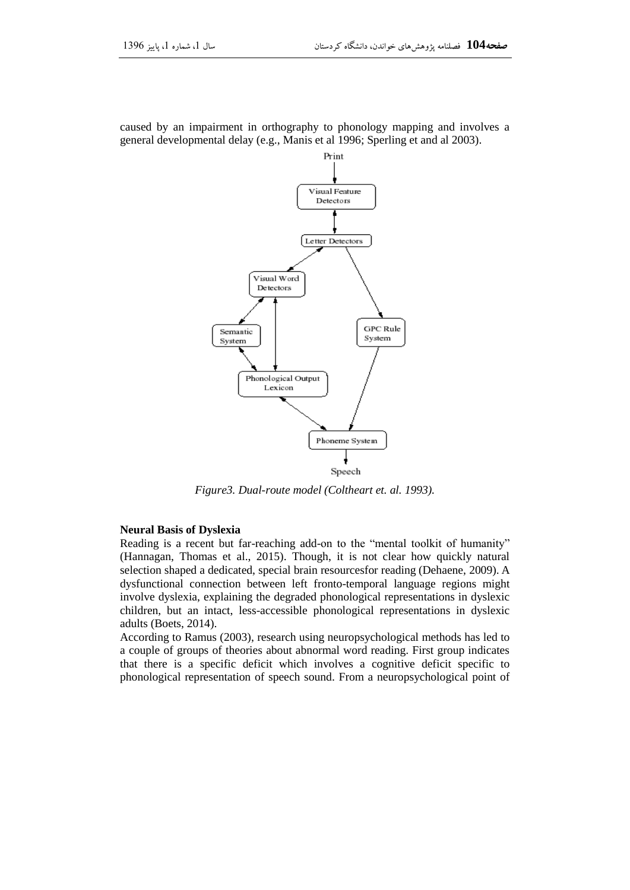

caused by an impairment in orthography to phonology mapping and involves a general developmental delay (e.g., Manis et al 1996; Sperling et and al 2003).

*Figure3. Dual-route model (Coltheart et. al. 1993).*

#### **Neural Basis of Dyslexia**

Reading is a recent but far-reaching add-on to the "mental toolkit of humanity" (Hannagan, Thomas et al., 2015). Though, it is not clear how quickly natural selection shaped a dedicated, special brain resourcesfor reading (Dehaene, 2009). A dysfunctional connection between left fronto-temporal language regions might involve dyslexia, explaining the degraded phonological representations in dyslexic children, but an intact, less-accessible phonological representations in dyslexic adults (Boets, 2014).

According to Ramus (2003), research using neuropsychological methods has led to a couple of groups of theories about abnormal word reading. First group indicates that there is a specific deficit which involves a cognitive deficit specific to phonological representation of speech sound. From a neuropsychological point of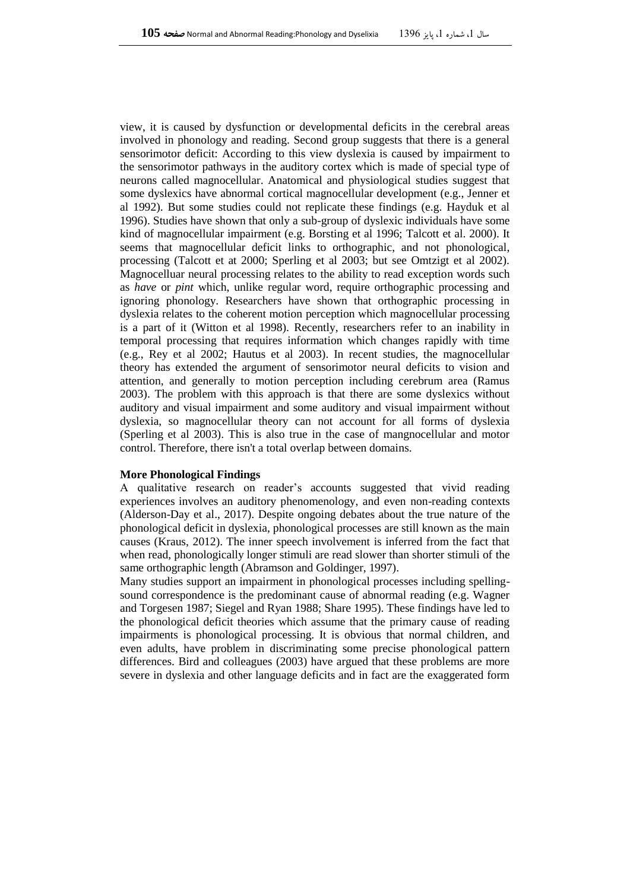view, it is caused by dysfunction or developmental deficits in the cerebral areas involved in phonology and reading. Second group suggests that there is a general sensorimotor deficit: According to this view dyslexia is caused by impairment to the sensorimotor pathways in the auditory cortex which is made of special type of neurons called magnocellular. Anatomical and physiological studies suggest that some dyslexics have abnormal cortical magnocellular development (e.g., Jenner et al 1992). But some studies could not replicate these findings (e.g. Hayduk et al 1996). Studies have shown that only a sub-group of dyslexic individuals have some kind of magnocellular impairment (e.g. Borsting et al 1996; Talcott et al. 2000). It seems that magnocellular deficit links to orthographic, and not phonological, processing (Talcott et at 2000; Sperling et al 2003; but see Omtzigt et al 2002). Magnocelluar neural processing relates to the ability to read exception words such as *have* or *pint* which, unlike regular word, require orthographic processing and ignoring phonology. Researchers have shown that orthographic processing in dyslexia relates to the coherent motion perception which magnocellular processing is a part of it (Witton et al 1998). Recently, researchers refer to an inability in temporal processing that requires information which changes rapidly with time (e.g., Rey et al 2002; Hautus et al 2003). In recent studies, the magnocellular theory has extended the argument of sensorimotor neural deficits to vision and attention, and generally to motion perception including cerebrum area (Ramus 2003). The problem with this approach is that there are some dyslexics without auditory and visual impairment and some auditory and visual impairment without dyslexia, so magnocellular theory can not account for all forms of dyslexia (Sperling et al 2003). This is also true in the case of mangnocellular and motor control. Therefore, there isn't a total overlap between domains.

#### **More Phonological Findings**

A qualitative research on reader's accounts suggested that vivid reading experiences involves an auditory phenomenology, and even non-reading contexts (Alderson-Day et al., 2017). Despite ongoing debates about the true nature of the phonological deficit in dyslexia, phonological processes are still known as the main causes (Kraus, 2012). The inner speech involvement is inferred from the fact that when read, phonologically longer stimuli are read slower than shorter stimuli of the same orthographic length (Abramson and Goldinger, 1997).

Many studies support an impairment in phonological processes including spellingsound correspondence is the predominant cause of abnormal reading (e.g. Wagner and Torgesen 1987; Siegel and Ryan 1988; Share 1995). These findings have led to the phonological deficit theories which assume that the primary cause of reading impairments is phonological processing. It is obvious that normal children, and even adults, have problem in discriminating some precise phonological pattern differences. Bird and colleagues (2003) have argued that these problems are more severe in dyslexia and other language deficits and in fact are the exaggerated form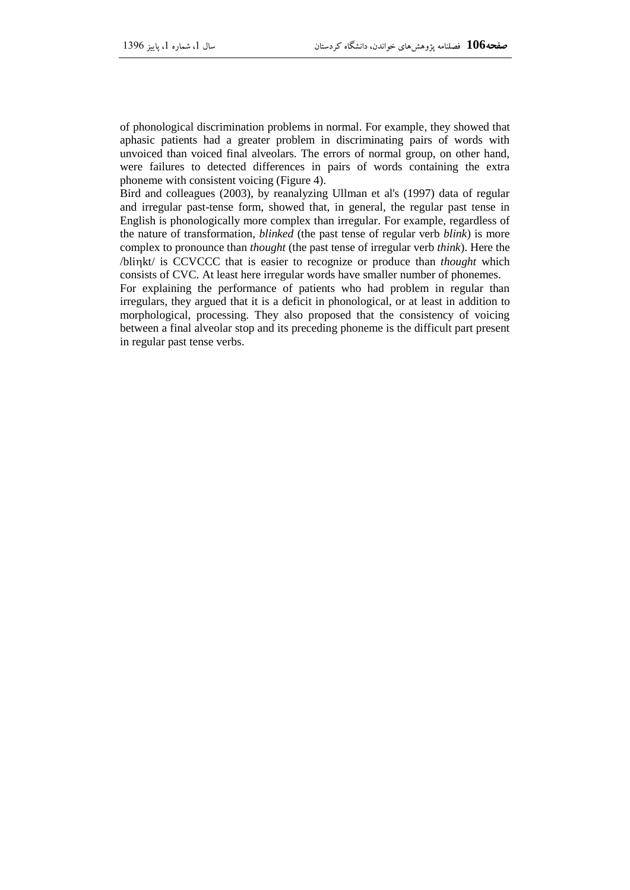of phonological discrimination problems in normal. For example, they showed that aphasic patients had a greater problem in discriminating pairs of words with unvoiced than voiced final alveolars. The errors of normal group, on other hand, were failures to detected differences in pairs of words containing the extra phoneme with consistent voicing (Figure 4).

Bird and colleagues (2003), by reanalyzing Ullman et al's (1997) data of regular and irregular past-tense form, showed that, in general, the regular past tense in English is phonologically more complex than irregular. For example, regardless of the nature of transformation, *blinked* (the past tense of regular verb *blink*) is more complex to pronounce than *thought* (the past tense of irregular verb *think*). Here the /blinkt/ is CCVCCC that is easier to recognize or produce than *thought* which consists of CVC. At least here irregular words have smaller number of phonemes.

For explaining the performance of patients who had problem in regular than irregulars, they argued that it is a deficit in phonological, or at least in addition to morphological, processing. They also proposed that the consistency of voicing between a final alveolar stop and its preceding phoneme is the difficult part present in regular past tense verbs.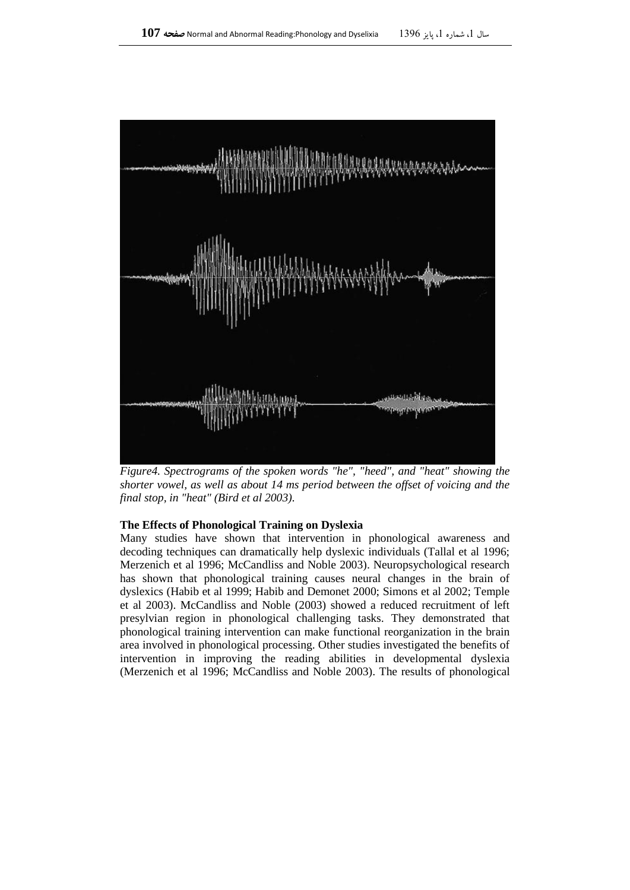

*Figure4. Spectrograms of the spoken words "he", "heed", and "heat" showing the shorter vowel, as well as about 14 ms period between the offset of voicing and the final stop, in "heat" (Bird et al 2003).*

### **The Effects of Phonological Training on Dyslexia**

Many studies have shown that intervention in phonological awareness and decoding techniques can dramatically help dyslexic individuals (Tallal et al 1996; Merzenich et al 1996; McCandliss and Noble 2003). Neuropsychological research has shown that phonological training causes neural changes in the brain of dyslexics (Habib et al 1999; Habib and Demonet 2000; Simons et al 2002; Temple et al 2003). McCandliss and Noble (2003) showed a reduced recruitment of left presylvian region in phonological challenging tasks. They demonstrated that phonological training intervention can make functional reorganization in the brain area involved in phonological processing. Other studies investigated the benefits of intervention in improving the reading abilities in developmental dyslexia (Merzenich et al 1996; McCandliss and Noble 2003). The results of phonological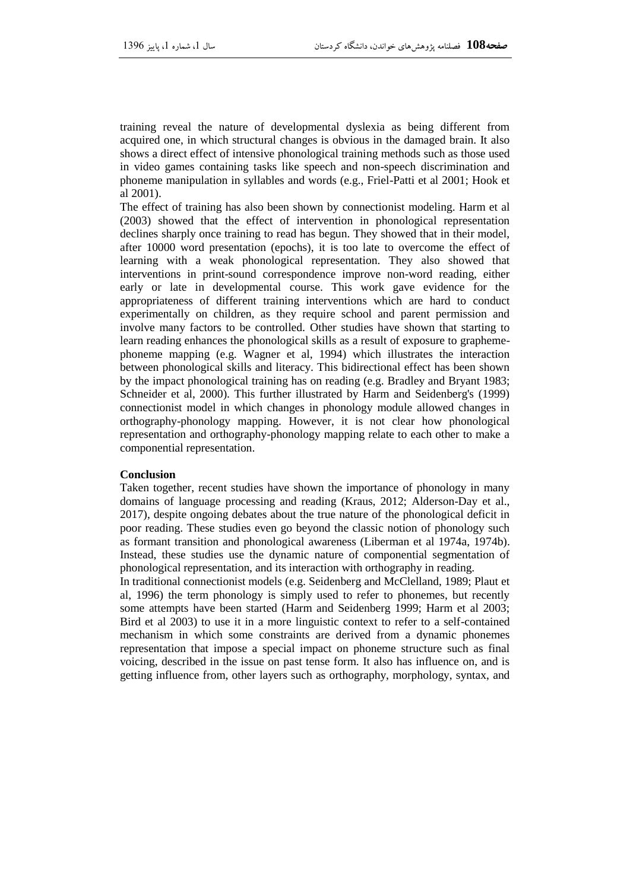training reveal the nature of developmental dyslexia as being different from acquired one, in which structural changes is obvious in the damaged brain. It also shows a direct effect of intensive phonological training methods such as those used in video games containing tasks like speech and non-speech discrimination and phoneme manipulation in syllables and words (e.g., Friel-Patti et al 2001; Hook et al 2001).

The effect of training has also been shown by connectionist modeling. Harm et al (2003) showed that the effect of intervention in phonological representation declines sharply once training to read has begun. They showed that in their model, after 10000 word presentation (epochs), it is too late to overcome the effect of learning with a weak phonological representation. They also showed that interventions in print-sound correspondence improve non-word reading, either early or late in developmental course. This work gave evidence for the appropriateness of different training interventions which are hard to conduct experimentally on children, as they require school and parent permission and involve many factors to be controlled. Other studies have shown that starting to learn reading enhances the phonological skills as a result of exposure to graphemephoneme mapping (e.g. Wagner et al, 1994) which illustrates the interaction between phonological skills and literacy. This bidirectional effect has been shown by the impact phonological training has on reading (e.g. Bradley and Bryant 1983; Schneider et al, 2000). This further illustrated by Harm and Seidenberg's (1999) connectionist model in which changes in phonology module allowed changes in orthography-phonology mapping. However, it is not clear how phonological representation and orthography-phonology mapping relate to each other to make a componential representation.

## **Conclusion**

Taken together, recent studies have shown the importance of phonology in many domains of language processing and reading (Kraus, 2012; Alderson-Day et al., 2017), despite ongoing debates about the true nature of the phonological deficit in poor reading. These studies even go beyond the classic notion of phonology such as formant transition and phonological awareness (Liberman et al 1974a, 1974b). Instead, these studies use the dynamic nature of componential segmentation of phonological representation, and its interaction with orthography in reading.

In traditional connectionist models (e.g. Seidenberg and McClelland, 1989; Plaut et al, 1996) the term phonology is simply used to refer to phonemes, but recently some attempts have been started (Harm and Seidenberg 1999; Harm et al 2003; Bird et al 2003) to use it in a more linguistic context to refer to a self-contained mechanism in which some constraints are derived from a dynamic phonemes representation that impose a special impact on phoneme structure such as final voicing, described in the issue on past tense form. It also has influence on, and is getting influence from, other layers such as orthography, morphology, syntax, and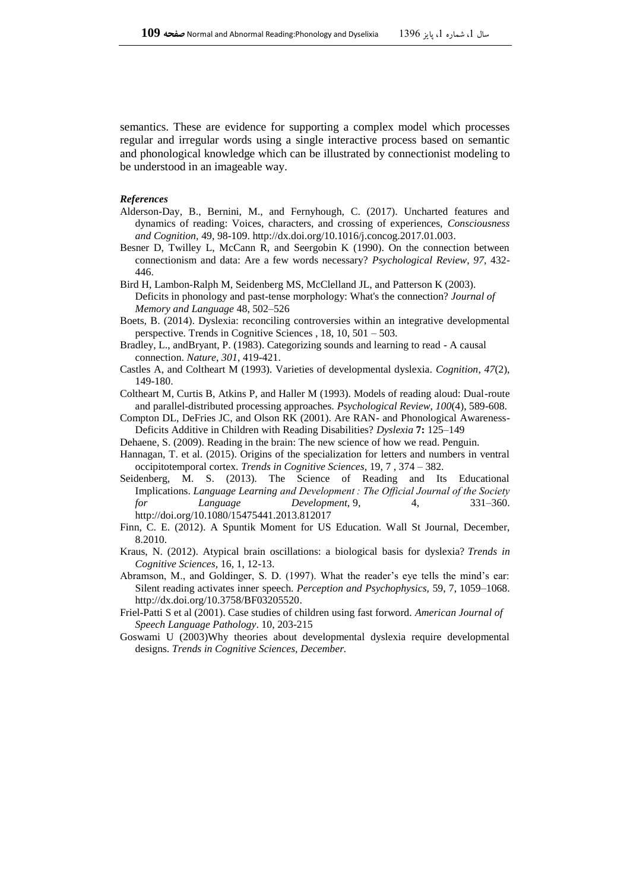semantics. These are evidence for supporting a complex model which processes regular and irregular words using a single interactive process based on semantic and phonological knowledge which can be illustrated by connectionist modeling to be understood in an imageable way.

#### *References*

- Alderson-Day, B., Bernini, M., and Fernyhough, C. (2017). Uncharted features and dynamics of reading: Voices, characters, and crossing of experiences, *Consciousness and Cognition,* 49, 98-109[. http://dx.doi.org/10.1016/j.concog.2017.01.003.](http://dx.doi.org/10.1016/j.concog.2017.01.003)
- Besner D, Twilley L, McCann R, and Seergobin K (1990). On the connection between connectionism and data: Are a few words necessary? *Psychological Review*, *97*, 432- 446.
- Bird H, Lambon-Ralph M, Seidenberg MS, McClelland JL, and Patterson K (2003). Deficits in phonology and past-tense morphology: What's the connection? *Journal of Memory and Language* 48, 502–526
- Boets, B. (2014). Dyslexia: reconciling controversies within an integrative developmental perspective. Trends in Cognitive Sciences , 18, 10, 501 – 503.
- Bradley, L., andBryant, P. (1983). Categorizing sounds and learning to read A causal connection. *Nature*, *301*, 419-421.
- Castles A, and Coltheart M (1993). Varieties of developmental dyslexia. *Cognition*, *47*(2), 149-180.
- Coltheart M, Curtis B, Atkins P, and Haller M (1993). Models of reading aloud: Dual-route and parallel-distributed processing approaches. *Psychological Review*, *100*(4), 589-608.
- Compton DL, DeFries JC, and Olson RK (2001). Are RAN- and Phonological Awareness-Deficits Additive in Children with Reading Disabilities? *Dyslexia* **7:** 125–149
- Dehaene, S. (2009). Reading in the brain: The new science of how we read. Penguin.
- Hannagan, T. et al. (2015). Origins of the specialization for letters and numbers in ventral occipitotemporal cortex. *Trends in Cognitive Sciences*, 19, 7 , 374 – 382.
- Seidenberg, M. S. (2013). The Science of Reading and Its Educational Implications. *Language Learning and Development : The Official Journal of the Society for Language Development,* 9, 4, 331–360. <http://doi.org/10.1080/15475441.2013.812017>
- Finn, C. E. (2012). A Spuntik Moment for US Education. Wall St Journal, December, 8.2010.
- Kraus, N. (2012). Atypical brain oscillations: a biological basis for dyslexia? *Trends in Cognitive Sciences,* 16, 1, 12-13.
- Abramson, M., and Goldinger, S. D. (1997). What the reader's eye tells the mind's ear: Silent reading activates inner speech. *Perception and Psychophysics,* 59, 7, 1059–1068. [http://dx.doi.org/10.3758/BF03205520.](http://dx.doi.org/10.3758/BF03205520)
- Friel-Patti S et al (2001). Case studies of children using fast forword. *American Journal of Speech Language Pathology*. 10, 203-215
- Goswami U (2003)Why theories about developmental dyslexia require developmental designs. *Trends in Cognitive Sciences, December.*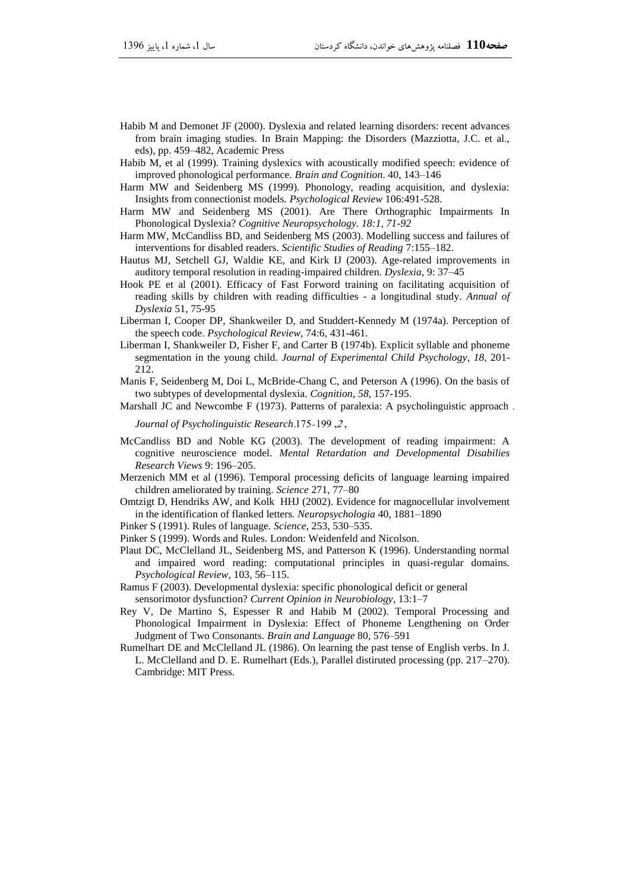- Habib M and Demonet JF (2000). Dyslexia and related learning disorders: recent advances from brain imaging studies. In Brain Mapping: the Disorders (Mazziotta, J.C. et al., eds), pp. 459–482, Academic Press
- Habib M, et al (1999). Training dyslexics with acoustically modified speech: evidence of improved phonological performance. *Brain and Cognition*. 40, 143–146
- Harm MW and Seidenberg MS (1999). Phonology, reading acquisition, and dyslexia: Insights from connectionist models. *Psychological Review* 106:491-528.
- Harm MW and Seidenberg MS (2001). Are There Orthographic Impairments In Phonological Dyslexia? *Cognitive Neuropsychology. 18:1, 71-92*
- Harm MW, McCandliss BD, and Seidenberg MS (2003). Modelling success and failures of interventions for disabled readers. *Scientific Studies of Reading* 7:155–182.
- Hautus MJ, Setchell GJ, Waldie KE, and Kirk IJ (2003). Age-related improvements in auditory temporal resolution in reading-impaired children. *Dyslexia*, 9: 37–45
- Hook PE et al (2001). Efficacy of Fast Forword training on facilitating acquisition of reading skills by children with reading difficulties - a longitudinal study. *Annual of Dyslexia* 51, 75-95
- Liberman I, Cooper DP, Shankweiler D, and Studdert-Kennedy M (1974a). Perception of the speech code. *Psychological Review*, 74:6, 431-461.
- Liberman I, Shankweiler D, Fisher F, and Carter B (1974b). Explicit syllable and phoneme segmentation in the young child. *Journal of Experimental Child Psychology*, *18*, 201- 212.
- Manis F, Seidenberg M, Doi L, McBride-Chang C, and Peterson A (1996). On the basis of two subtypes of developmental dyslexia. *Cognition*, *58*, 157-195.
- Marshall JC and Newcombe F (1973). Patterns of paralexia: A psycholinguistic approach .

*Journal of Psycholinguistic Research*.175-199 ,<sup>2</sup> ,

- McCandliss BD and Noble KG (2003). The development of reading impairment: A cognitive neuroscience model. *Mental Retardation and Developmental Disabilies Research Views* 9: 196–205.
- Merzenich MM et al (1996). Temporal processing deficits of language learning impaired children ameliorated by training. *Science* 271, 77–80
- Omtzigt D, Hendriks AW, and Kolk HHJ (2002). Evidence for magnocellular involvement in the identification of flanked letters. *Neuropsychologia* 40, 1881–1890
- Pinker S (1991). Rules of language. *Science*, 253, 530–535.
- Pinker S (1999). Words and Rules. London: Weidenfeld and Nicolson.
- Plaut DC, McClelland JL, Seidenberg MS, and Patterson K (1996). Understanding normal and impaired word reading: computational principles in quasi-regular domains. *Psychological Review*, 103, 56–115.
- Ramus F (2003). Developmental dyslexia: specific phonological deficit or general sensorimotor dysfunction? *Current Opinion in Neurobiology*, 13:1–7
- Rey V, De Martino S, Espesser R and Habib M (2002). Temporal Processing and Phonological Impairment in Dyslexia: Effect of Phoneme Lengthening on Order Judgment of Two Consonants. *Brain and Language* 80, 576–591
- Rumelhart DE and McClelland JL (1986). On learning the past tense of English verbs. In J. L. McClelland and D. E. Rumelhart (Eds.), Parallel distiruted processing (pp. 217–270). Cambridge: MIT Press.